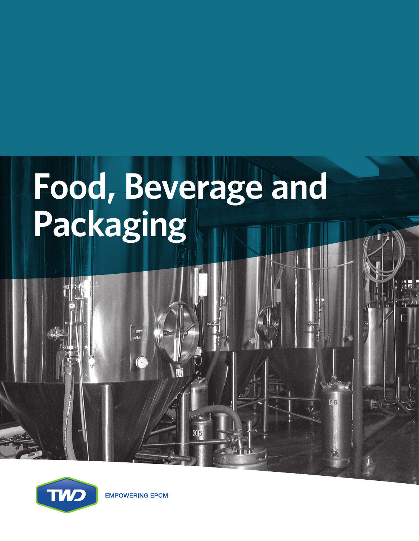# **Food, Beverage and Packaging**



**EMPOWERING EPCM**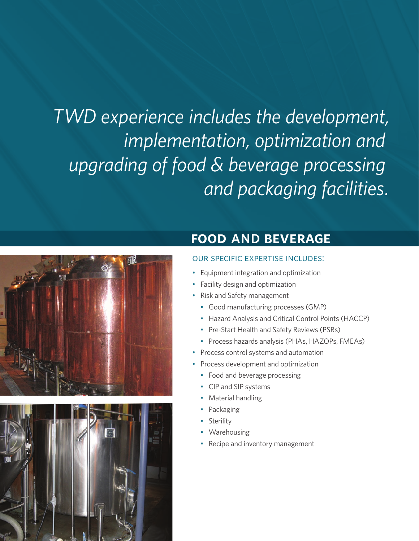*TWD experience includes the development, implementation, optimization and upgrading of food & beverage processing and packaging facilities.*





### **food AND beverage**

### our specific expertise includes:

- Equipment integration and optimization
- Facility design and optimization
- Risk and Safety management
	- Good manufacturing processes (GMP)
	- Hazard Analysis and Critical Control Points (HACCP)
	- Pre-Start Health and Safety Reviews (PSRs)
	- Process hazards analysis (PHAs, HAZOPs, FMEAs)
- Process control systems and automation
- Process development and optimization
	- Food and beverage processing
	- CIP and SIP systems
	- Material handling
	- **Packaging**
	- **Sterility**
	- **Warehousing**
	- Recipe and inventory management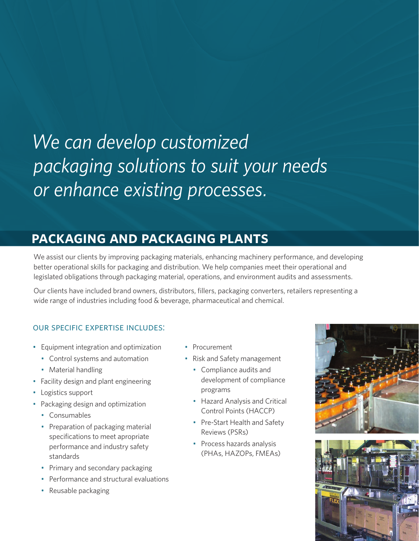# *We can develop customized packaging solutions to suit your needs or enhance existing processes.*

## **packaging and packaging plants**

We assist our clients by improving packaging materials, enhancing machinery performance, and developing better operational skills for packaging and distribution. We help companies meet their operational and legislated obligations through packaging material, operations, and environment audits and assessments.

Our clients have included brand owners, distributors, fillers, packaging converters, retailers representing a wide range of industries including food & beverage, pharmaceutical and chemical.

### our specific expertise includes:

- Equipment integration and optimization
	- Control systems and automation
	- Material handling
- Facility design and plant engineering
- Logistics support
- Packaging design and optimization
	- Consumables
	- Preparation of packaging material specifications to meet apropriate performance and industry safety standards
	- Primary and secondary packaging
	- Performance and structural evaluations
	- Reusable packaging
- Procurement
- Risk and Safety management
	- Compliance audits and development of compliance programs
	- Hazard Analysis and Critical Control Points (HACCP)
	- Pre-Start Health and Safety Reviews (PSRs)
	- Process hazards analysis (PHAs, HAZOPs, FMEAs)